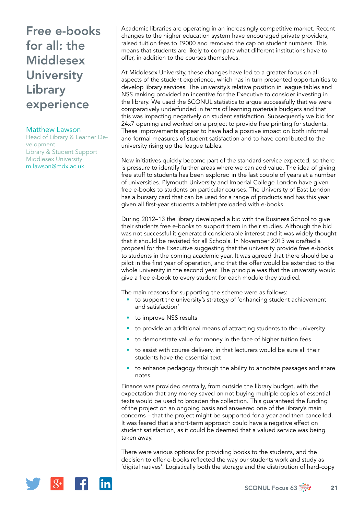# Free e-books for all: the **Middlesex University** Library experience

### Matthew Lawson

Head of Library & Learner Development Library & Student Support Middlesex University [m.lawson@mdx.ac.uk](mailto:m.lawson@mdx.ac.uk)

Academic libraries are operating in an increasingly competitive market. Recent changes to the higher education system have encouraged private providers, raised tuition fees to £9000 and removed the cap on student numbers. This means that students are likely to compare what different institutions have to offer, in addition to the courses themselves.

At Middlesex University, these changes have led to a greater focus on all aspects of the student experience, which has in turn presented opportunities to develop library services. The university's relative position in league tables and NSS ranking provided an incentive for the Executive to consider investing in the library. We used the SCONUL statistics to argue successfully that we were comparatively underfunded in terms of learning materials budgets and that this was impacting negatively on student satisfaction. Subsequently we bid for 24x7 opening and worked on a project to provide free printing for students. These improvements appear to have had a positive impact on both informal and formal measures of student satisfaction and to have contributed to the university rising up the league tables.

New initiatives quickly become part of the standard service expected, so there is pressure to identify further areas where we can add value. The idea of giving free stuff to students has been explored in the last couple of years at a number of universities. Plymouth University and Imperial College London have given free e-books to students on particular courses. The University of East London has a bursary card that can be used for a range of products and has this year given all first-year students a tablet preloaded with e-books.

During 2012–13 the library developed a bid with the Business School to give their students free e-books to support them in their studies. Although the bid was not successful it generated considerable interest and it was widely thought that it should be revisited for all Schools. In November 2013 we drafted a proposal for the Executive suggesting that the university provide free e-books to students in the coming academic year. It was agreed that there should be a pilot in the first year of operation, and that the offer would be extended to the whole university in the second year. The principle was that the university would give a free e-book to every student for each module they studied.

The main reasons for supporting the scheme were as follows:

- to support the university's strategy of 'enhancing student achievement and satisfaction'
- to improve NSS results
- to provide an additional means of attracting students to the university
- to demonstrate value for money in the face of higher tuition fees
- to assist with course delivery, in that lecturers would be sure all their students have the essential text
- to enhance pedagogy through the ability to annotate passages and share notes.

Finance was provided centrally, from outside the library budget, with the expectation that any money saved on not buying multiple copies of essential texts would be used to broaden the collection. This guaranteed the funding of the project on an ongoing basis and answered one of the library's main concerns – that the project might be supported for a year and then cancelled. It was feared that a short-term approach could have a negative effect on student satisfaction, as it could be deemed that a valued service was being taken away.

There were various options for providing books to the students, and the decision to offer e-books reflected the way our students work and study as 'digital natives'. Logistically both the storage and the distribution of hard-copy

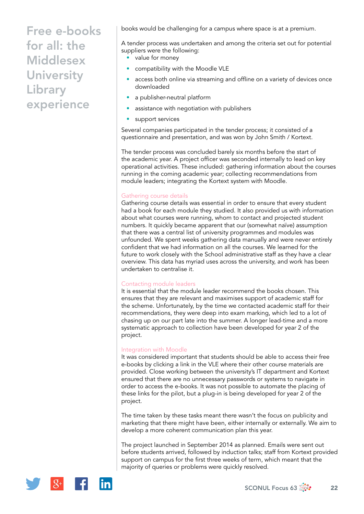# Free e-books for all: the **Middlesex University** Library experience

books would be challenging for a campus where space is at a premium.

A tender process was undertaken and among the criteria set out for potential suppliers were the following:

• value for money

- compatibility with the Moodle VLE
- access both online via streaming and offline on a variety of devices once downloaded
- a publisher-neutral platform
- assistance with negotiation with publishers
- support services

Several companies participated in the tender process; it consisted of a questionnaire and presentation, and was won by John Smith / Kortext.

The tender process was concluded barely six months before the start of the academic year. A project officer was seconded internally to lead on key operational activities. These included: gathering information about the courses running in the coming academic year; collecting recommendations from module leaders; integrating the Kortext system with Moodle.

### Gathering course details

Gathering course details was essential in order to ensure that every student had a book for each module they studied. It also provided us with information about what courses were running, whom to contact and projected student numbers. It quickly became apparent that our (somewhat naïve) assumption that there was a central list of university programmes and modules was unfounded. We spent weeks gathering data manually and were never entirely confident that we had information on all the courses. We learned for the future to work closely with the School administrative staff as they have a clear overview. This data has myriad uses across the university, and work has been undertaken to centralise it.

#### Contacting module leaders

It is essential that the module leader recommend the books chosen. This ensures that they are relevant and maximises support of academic staff for the scheme. Unfortunately, by the time we contacted academic staff for their recommendations, they were deep into exam marking, which led to a lot of chasing up on our part late into the summer. A longer lead-time and a more systematic approach to collection have been developed for year 2 of the project.

### Integration with Moodle

It was considered important that students should be able to access their free e-books by clicking a link in the VLE where their other course materials are provided. Close working between the university's IT department and Kortext ensured that there are no unnecessary passwords or systems to navigate in order to access the e-books. It was not possible to automate the placing of these links for the pilot, but a plug-in is being developed for year 2 of the project.

The time taken by these tasks meant there wasn't the focus on publicity and marketing that there might have been, either internally or externally. We aim to develop a more coherent communication plan this year.

The project launched in September 2014 as planned. Emails were sent out before students arrived, followed by induction talks; staff from Kortext provided support on campus for the first three weeks of term, which meant that the majority of queries or problems were quickly resolved.